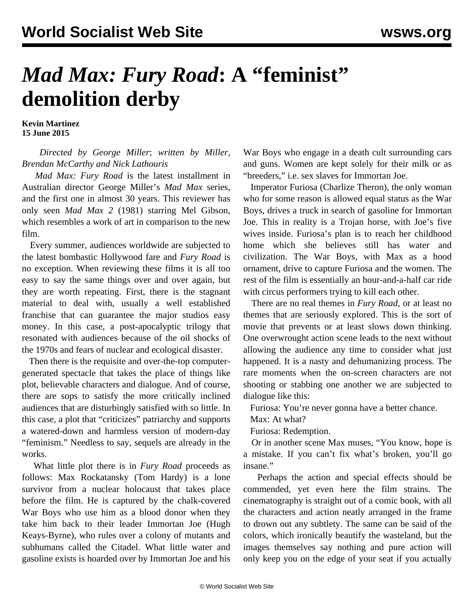## *Mad Max: Fury Road***: A "feminist" demolition derby**

**Kevin Martinez 15 June 2015**

## *Directed by George Miller*; *written by Miller, Brendan McCarthy and Nick Lathouris*

 *Mad Max: Fury Road* is the latest installment in Australian director George Miller's *Mad Max* series, and the first one in almost 30 years. This reviewer has only seen *Mad Max 2* (1981) starring Mel Gibson, which resembles a work of art in comparison to the new film.

 Every summer, audiences worldwide are subjected to the latest bombastic Hollywood fare and *Fury Road* is no exception. When reviewing these films it is all too easy to say the same things over and over again, but they are worth repeating. First, there is the stagnant material to deal with, usually a well established franchise that can guarantee the major studios easy money. In this case, a post-apocalyptic trilogy that resonated with audiences because of the oil shocks of the 1970s and fears of nuclear and ecological disaster.

 Then there is the requisite and over-the-top computergenerated spectacle that takes the place of things like plot, believable characters and dialogue. And of course, there are sops to satisfy the more critically inclined audiences that are disturbingly satisfied with so little. In this case, a plot that "criticizes" patriarchy and supports a watered-down and harmless version of modern-day "feminism." Needless to say, sequels are already in the works.

 What little plot there is in *Fury Road* proceeds as follows: Max Rockatansky (Tom Hardy) is a lone survivor from a nuclear holocaust that takes place before the film. He is captured by the chalk-covered War Boys who use him as a blood donor when they take him back to their leader Immortan Joe (Hugh Keays-Byrne), who rules over a colony of mutants and subhumans called the Citadel. What little water and gasoline exists is hoarded over by Immortan Joe and his

War Boys who engage in a death cult surrounding cars and guns. Women are kept solely for their milk or as "breeders," i.e. sex slaves for Immortan Joe.

 Imperator Furiosa (Charlize Theron), the only woman who for some reason is allowed equal status as the War Boys, drives a truck in search of gasoline for Immortan Joe. This in reality is a Trojan horse, with Joe's five wives inside. Furiosa's plan is to reach her childhood home which she believes still has water and civilization. The War Boys, with Max as a hood ornament, drive to capture Furiosa and the women. The rest of the film is essentially an hour-and-a-half car ride with circus performers trying to kill each other.

 There are no real themes in *Fury Road,* or at least no themes that are seriously explored. This is the sort of movie that prevents or at least slows down thinking. One overwrought action scene leads to the next without allowing the audience any time to consider what just happened. It is a nasty and dehumanizing process. The rare moments when the on-screen characters are not shooting or stabbing one another we are subjected to dialogue like this:

Furiosa: You're never gonna have a better chance.

Max: At what?

Furiosa: Redemption.

 Or in another scene Max muses, "You know, hope is a mistake. If you can't fix what's broken, you'll go insane."

 Perhaps the action and special effects should be commended, yet even here the film strains. The cinematography is straight out of a comic book, with all the characters and action neatly arranged in the frame to drown out any subtlety. The same can be said of the colors, which ironically beautify the wasteland, but the images themselves say nothing and pure action will only keep you on the edge of your seat if you actually